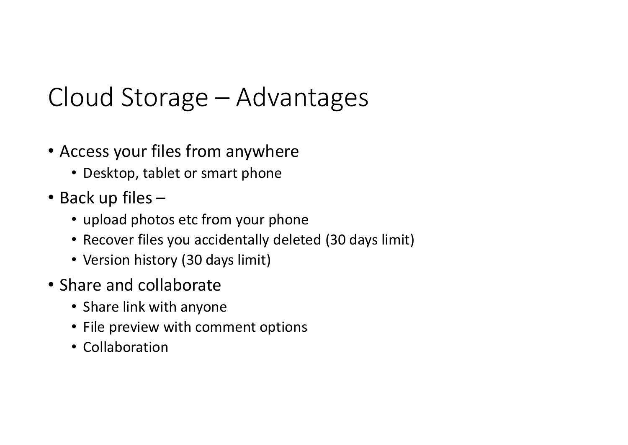# Cloud Storage – Advantages<br>• Access your files from anywhere OUd Storage — Advantages<br>
ccess your files from anywhere<br>
• Desktop, tablet or smart phone<br>
• upload photos etc from your phone<br>
• Recover files you accidentally deleted (30 days limit)<br>
• Version history (30 days limit)

- Access your files from anywhere
	- Desktop, tablet or smart phone
- Back up files
	-
	- Recover files you accidentally deleted (30 days limit)
	- Version history (30 days limit)
- Share and collaborate
	- Share link with anyone
	- File preview with comment options
	- Collaboration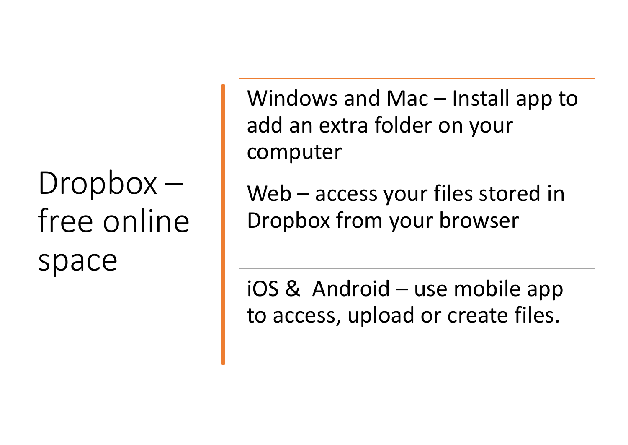### free online space

Windows and Mac – Install app to<br>add an extra folder on your<br>computer add an extra folder on your computer Windows and Mac – Install app to<br>add an extra folder on your<br>computer<br>Web – access your files stored in<br>Dropbox from your browser France is an<br>add an extra folder on your<br>computer<br>Web – access your files stored in<br>Dropbox from your browser<br>iOS & Android – use mobile app<br>to access, upload or create files.

 $Dropbox -$  Web – access your files stored in Dropbox from your browser

to access, upload or create files.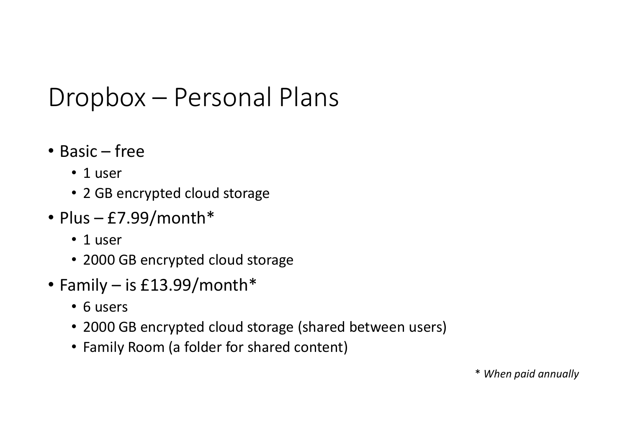## Dropbox – Personal Plans<br>• <sub>Basic – free</sub> Dropbox — Personal Plans<br>• Basic – free<br>• 1 user<br>• 2 GB encrypted cloud storage Dropbox — Personal Plans<br>• Basic – free<br>• 1 user<br>• 2 GB encrypted cloud storage<br>• Plus – £7.99/month\*<br>• 1 user<br>• 2000 GB encrypted cloud storage

- - 1 user
	- 2 GB encrypted cloud storage
- - 1 user
	- 2000 GB encrypted cloud storage
- - 6 users
- Basic free<br>• 1 user<br>• 2 GB encrypted cloud storage<br>• Plus £7.99/month\*<br>• 1 user<br>• 2000 GB encrypted cloud storage<br>• Family is £13.99/month\*<br>• 6 users<br>• 2000 GB encrypted cloud storage (shared bet • 2000 GB encrypted cloud storage (shared between users)
	- Family Room (a folder for shared content)

\* When paid annually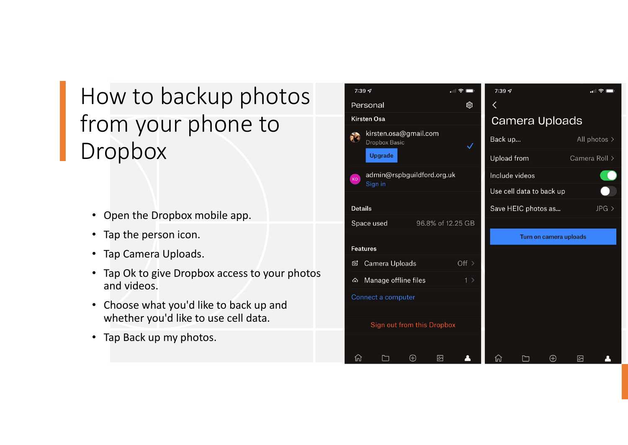#### How to backup photos from your phone to Dropbox

- Open the Dropbox mobile app.
- Tap the person icon.
- Tap Camera Uploads.
- Tap Ok to give Dropbox access to your photos and videos.
- Choose what you'd like to back up and whether you'd like to use cell data.
- Tap Back up my photos.

|  |                                             | 7:397                                 |                   | $\blacksquare$ $\approx$ $\blacksquare$ | 7:397       |                          |                |               | $\blacksquare$ $\odot$ $\blacksquare$ |
|--|---------------------------------------------|---------------------------------------|-------------------|-----------------------------------------|-------------|--------------------------|----------------|---------------|---------------------------------------|
|  |                                             | Personal                              |                   | ඹ                                       | ⟨           |                          |                |               |                                       |
|  |                                             | <b>Kirsten Osa</b>                    |                   | Camera Uploads                          |             |                          |                |               |                                       |
|  | kirsten.osa@gmail.com<br>网<br>Dropbox Basic |                                       |                   | ✓                                       | Back up     |                          |                |               | All photos >                          |
|  |                                             | <b>Upgrade</b>                        |                   |                                         | Upload from |                          |                | Camera Roll > |                                       |
|  | <b>KO</b>                                   | admin@rspbguildford.org.uk<br>Sign in |                   |                                         |             | Include videos           |                |               |                                       |
|  |                                             |                                       |                   |                                         |             | Use cell data to back up |                |               |                                       |
|  | <b>Details</b>                              |                                       |                   |                                         |             | Save HEIC photos as      |                |               | $JPG$ >                               |
|  | Space used<br>96.8% of 12.25 GB             |                                       |                   |                                         |             |                          |                |               |                                       |
|  |                                             |                                       |                   | Turn on camera uploads                  |             |                          |                |               |                                       |
|  |                                             | <b>Features</b>                       |                   |                                         |             |                          |                |               |                                       |
|  | ඦ                                           | Camera Uploads                        |                   | Off >                                   |             |                          |                |               |                                       |
|  | $\omega$                                    | Manage offline files                  |                   | 1                                       |             |                          |                |               |                                       |
|  |                                             | Connect a computer                    |                   |                                         |             |                          |                |               |                                       |
|  |                                             |                                       |                   |                                         |             |                          |                |               |                                       |
|  |                                             | Sign out from this Dropbox            |                   |                                         |             |                          |                |               |                                       |
|  |                                             |                                       |                   |                                         |             |                          |                |               |                                       |
|  | ⋒                                           |                                       | <sup>4</sup><br>囨 |                                         | নি          |                          | ( <del>T</del> | 叼             |                                       |